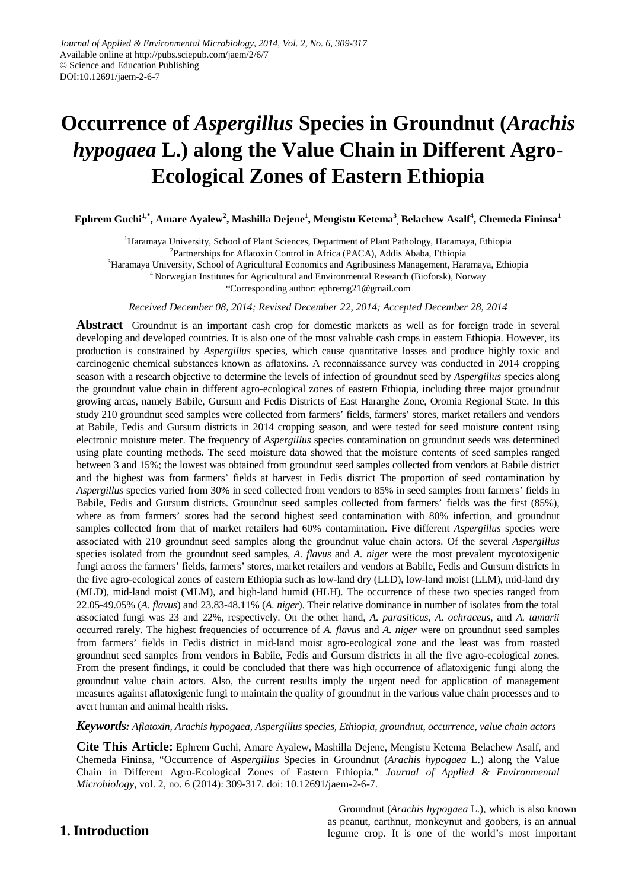# **Occurrence of** *Aspergillus* **Species in Groundnut (***Arachis hypogaea* **L.) along the Value Chain in Different Agro-Ecological Zones of Eastern Ethiopia**

 ${\bf Ephrem~Guchi^*, Amare~Ayalew^2, Mashilla~Dejene^1, Mengistu~Ketema^3, Belachew~Asalf^4, Chemeda Fininsa^1}$ 

<sup>1</sup>Haramaya University, School of Plant Sciences, Department of Plant Pathology, Haramaya, Ethiopia

<sup>2</sup>Partnerships for Aflatoxin Control in Africa (PACA), Addis Ababa, Ethiopia

<sup>3</sup>Haramaya University, School of Agricultural Economics and Agribusiness Management, Haramaya, Ethiopia

<sup>4</sup> Norwegian Institutes for Agricultural and Environmental Research (Bioforsk), Norway

\*Corresponding author: ephremg21@gmail.com

*Received December 08, 2014; Revised December 22, 2014; Accepted December 28, 2014*

**Abstract** Groundnut is an important cash crop for domestic markets as well as for foreign trade in several developing and developed countries. It is also one of the most valuable cash crops in eastern Ethiopia. However, its production is constrained by *Aspergillus* species*,* which cause quantitative losses and produce highly toxic and carcinogenic chemical substances known as aflatoxins. A reconnaissance survey was conducted in 2014 cropping season with a research objective to determine the levels of infection of groundnut seed by *Aspergillus* species along the groundnut value chain in different agro-ecological zones of eastern Ethiopia, including three major groundnut growing areas, namely Babile, Gursum and Fedis Districts of East Hararghe Zone, Oromia Regional State. In this study 210 groundnut seed samples were collected from farmers' fields, farmers' stores, market retailers and vendors at Babile, Fedis and Gursum districts in 2014 cropping season, and were tested for seed moisture content using electronic moisture meter. The frequency of *Aspergillus* species contamination on groundnut seeds was determined using plate counting methods. The seed moisture data showed that the moisture contents of seed samples ranged between 3 and 15%; the lowest was obtained from groundnut seed samples collected from vendors at Babile district and the highest was from farmers' fields at harvest in Fedis district The proportion of seed contamination by *Aspergillus* species varied from 30% in seed collected from vendors to 85% in seed samples from farmers' fields in Babile, Fedis and Gursum districts. Groundnut seed samples collected from farmers' fields was the first (85%), where as from farmers' stores had the second highest seed contamination with 80% infection, and groundnut samples collected from that of market retailers had 60% contamination. Five different *Aspergillus* species were associated with 210 groundnut seed samples along the groundnut value chain actors. Of the several *Aspergillus* species isolated from the groundnut seed samples, *A. flavus* and *A. niger* were the most prevalent mycotoxigenic fungi across the farmers' fields, farmers' stores, market retailers and vendors at Babile, Fedis and Gursum districts in the five agro-ecological zones of eastern Ethiopia such as low-land dry (LLD), low-land moist (LLM), mid-land dry (MLD), mid-land moist (MLM), and high-land humid (HLH). The occurrence of these two species ranged from 22.05-49.05% (*A. flavus*) and 23.83-48.11% (*A. niger*). Their relative dominance in number of isolates from the total associated fungi was 23 and 22%, respectively. On the other hand, *A. parasiticus, A. ochraceus*, and *A. tamarii* occurred rarely. The highest frequencies of occurrence of *A. flavus* and *A. niger* were on groundnut seed samples from farmers' fields in Fedis district in mid-land moist agro-ecological zone and the least was from roasted groundnut seed samples from vendors in Babile, Fedis and Gursum districts in all the five agro-ecological zones. From the present findings, it could be concluded that there was high occurrence of aflatoxigenic fungi along the groundnut value chain actors. Also, the current results imply the urgent need for application of management measures against aflatoxigenic fungi to maintain the quality of groundnut in the various value chain processes and to avert human and animal health risks.

*Keywords: Aflatoxin, Arachis hypogaea, Aspergillus species, Ethiopia, groundnut, occurrence, value chain actors*

**Cite This Article:** Ephrem Guchi, Amare Ayalew, Mashilla Dejene, Mengistu Ketema, Belachew Asalf, and Chemeda Fininsa, "Occurrence of *Aspergillus* Species in Groundnut (*Arachis hypogaea* L.) along the Value Chain in Different Agro-Ecological Zones of Eastern Ethiopia." *Journal of Applied & Environmental Microbiology*, vol. 2, no. 6 (2014): 309-317. doi: 10.12691/jaem-2-6-7.

# **1. Introduction**

Groundnut (*Arachis hypogaea* L.), which is also known as peanut, earthnut, monkeynut and goobers, is an annual legume crop. It is one of the world's most important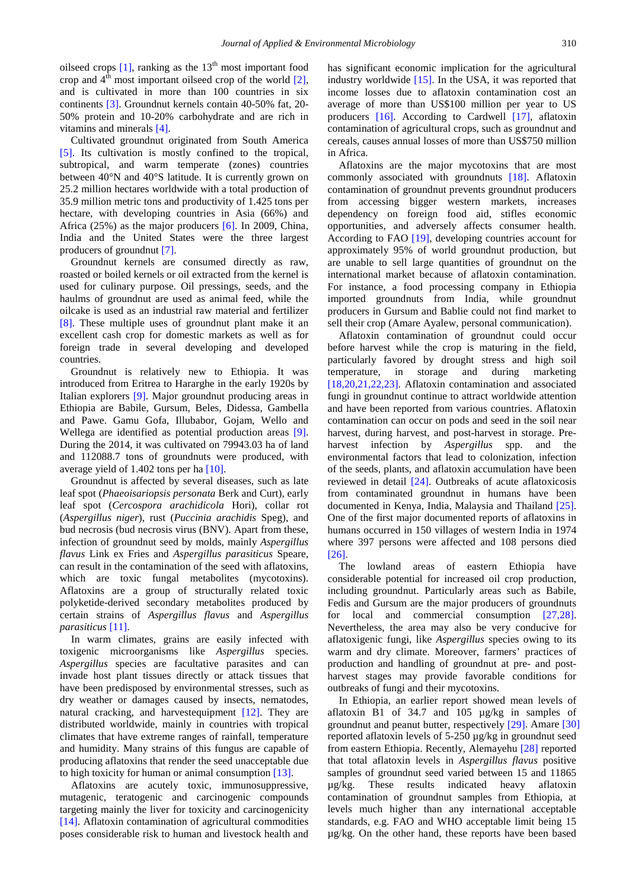oilseed crops  $[1]$ , ranking as the  $13<sup>th</sup>$  most important food crop and  $4<sup>th</sup>$  most important oilseed crop of the world  $[2]$ , and is cultivated in more than 100 countries in six continents [\[3\].](#page-7-0) Groundnut kernels contain 40-50% fat, 20- 50% protein and 10-20% carbohydrate and are rich in vitamins and minerals [\[4\].](#page-7-1)

Cultivated groundnut originated from South America [\[5\].](#page-7-2) Its cultivation is mostly confined to the tropical, subtropical, and warm temperate (zones) countries between 40°N and 40°S latitude. It is currently grown on 25.2 million hectares worldwide with a total production of 35.9 million metric tons and productivity of 1.425 tons per hectare, with developing countries in Asia (66%) and Africa (25%) as the major producers [\[6\].](#page-7-3) In 2009, China, India and the United States were the three largest producers of groundnut [\[7\].](#page-7-4)

Groundnut kernels are consumed directly as raw, roasted or boiled kernels or oil extracted from the kernel is used for culinary purpose. Oil pressings, seeds, and the haulms of groundnut are used as animal feed, while the oilcake is used as an industrial raw material and fertilizer [\[8\].](#page-7-5) These multiple uses of groundnut plant make it an excellent cash crop for domestic markets as well as for foreign trade in several developing and developed countries.

Groundnut is relatively new to Ethiopia. It was introduced from Eritrea to Hararghe in the early 1920s by Italian explorers [\[9\].](#page-7-6) Major groundnut producing areas in Ethiopia are Babile, Gursum, Beles, Didessa, Gambella and Pawe. Gamu Gofa, Illubabor, Gojam, Wello and Wellega are identified as potential production areas [\[9\].](#page-7-6) During the 2014, it was cultivated on 79943.03 ha of land and 112088.7 tons of groundnuts were produced, with average yield of 1.402 tons per ha [\[10\].](#page-7-7)

Groundnut is affected by several diseases, such as late leaf spot (*Phaeoisariopsis personata* Berk and Curt), early leaf spot (*Cercospora arachidicola* Hori), collar rot (*Aspergillus niger*), rust (*Puccinia arachidis* Speg), and bud necrosis (bud necrosis virus (BNV). Apart from these, infection of groundnut seed by molds, mainly *Aspergillus flavus* Link ex Fries and *Aspergillus parasiticus* Speare, can result in the contamination of the seed with aflatoxins, which are toxic fungal metabolites (mycotoxins). Aflatoxins are a group of structurally related toxic polyketide-derived secondary metabolites produced by certain strains of *Aspergillus flavus* and *Aspergillus parasiticus* [\[11\].](#page-7-8) 

In warm climates, grains are easily infected with toxigenic microorganisms like *Aspergillus* species. *Aspergillus* species are facultative parasites and can invade host plant tissues directly or attack tissues that have been predisposed by environmental stresses, such as dry weather or damages caused by insects, nematodes, natural cracking, and harvestequipment [\[12\].](#page-7-9) They are distributed worldwide, mainly in countries with tropical climates that have extreme ranges of rainfall, temperature and humidity. Many strains of this fungus are capable of producing aflatoxins that render the seed unacceptable due to high toxicity for human or animal consumption [\[13\].](#page-7-10)

Aflatoxins are acutely toxic, immunosuppressive, mutagenic, teratogenic and carcinogenic compounds targeting mainly the liver for toxicity and carcinogenicity [\[14\].](#page-7-11) Aflatoxin contamination of agricultural commodities poses considerable risk to human and livestock health and has significant economic implication for the agricultural industry worldwide [\[15\].](#page-7-12) In the USA, it was reported that income losses due to aflatoxin contamination cost an average of more than US\$100 million per year to US producers [\[16\].](#page-7-13) According to Cardwell [\[17\],](#page-7-14) aflatoxin contamination of agricultural crops, such as groundnut and cereals, causes annual losses of more than US\$750 million in Africa.

Aflatoxins are the major mycotoxins that are most commonly associated with groundnuts [\[18\].](#page-7-15) Aflatoxin contamination of groundnut prevents groundnut producers from accessing bigger western markets, increases dependency on foreign food aid, stifles economic opportunities, and adversely affects consumer health. According to FAO [\[19\],](#page-7-16) developing countries account for approximately 95% of world groundnut production, but are unable to sell large quantities of groundnut on the international market because of aflatoxin contamination. For instance, a food processing company in Ethiopia imported groundnuts from India, while groundnut producers in Gursum and Bablie could not find market to sell their crop (Amare Ayalew, personal communication).

Aflatoxin contamination of groundnut could occur before harvest while the crop is maturing in the field, particularly favored by drought stress and high soil temperature, in storage and during marketing [\[18,20,21,22,23\].](#page-7-15) Aflatoxin contamination and associated fungi in groundnut continue to attract worldwide attention and have been reported from various countries. Aflatoxin contamination can occur on pods and seed in the soil near harvest, during harvest, and post-harvest in storage. Preharvest infection by *Aspergillus* spp. and the environmental factors that lead to colonization, infection of the seeds, plants, and aflatoxin accumulation have been reviewed in detail [\[24\].](#page-7-17) Outbreaks of acute aflatoxicosis from contaminated groundnut in humans have been documented in Kenya, India, Malaysia and Thailand [\[25\].](#page-7-18) One of the first major documented reports of aflatoxins in humans occurred in 150 villages of western India in 1974 where 397 persons were affected and 108 persons died [\[26\].](#page-7-19)

The lowland areas of eastern Ethiopia have considerable potential for increased oil crop production, including groundnut. Particularly areas such as Babile, Fedis and Gursum are the major producers of groundnuts for local and commercial consumption [\[27,28\].](#page-7-20) Nevertheless, the area may also be very conducive for aflatoxigenic fungi, like *Aspergillus* species owing to its warm and dry climate. Moreover, farmers' practices of production and handling of groundnut at pre- and postharvest stages may provide favorable conditions for outbreaks of fungi and their mycotoxins.

In Ethiopia, an earlier report showed mean levels of aflatoxin B1 of 34.7 and 105 µg/kg in samples of groundnut and peanut butter, respectively [\[29\].](#page-7-21) Amare [\[30\]](#page-7-22) reported aflatoxin levels of 5-250 µg/kg in groundnut seed from eastern Ethiopia. Recently, Alemayehu [\[28\]](#page-7-23) reported that total aflatoxin levels in *Aspergillus flavus* positive samples of groundnut seed varied between 15 and 11865 µg/kg. These results indicated heavy aflatoxin contamination of groundnut samples from Ethiopia, at levels much higher than any international acceptable standards, e.g. FAO and WHO acceptable limit being 15 µg/kg. On the other hand, these reports have been based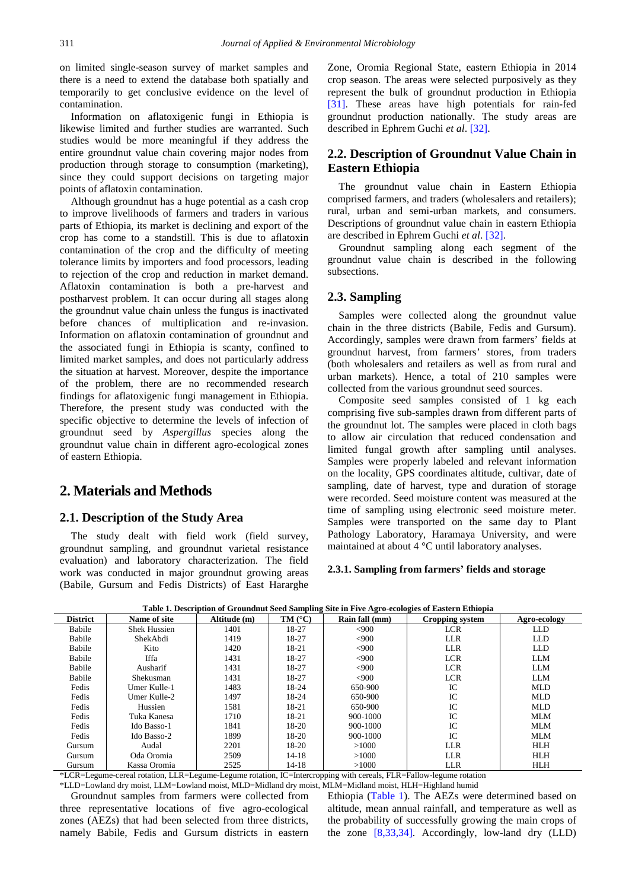on limited single-season survey of market samples and there is a need to extend the database both spatially and temporarily to get conclusive evidence on the level of contamination.

Information on aflatoxigenic fungi in Ethiopia is likewise limited and further studies are warranted. Such studies would be more meaningful if they address the entire groundnut value chain covering major nodes from production through storage to consumption (marketing), since they could support decisions on targeting major points of aflatoxin contamination.

Although groundnut has a huge potential as a cash crop to improve livelihoods of farmers and traders in various parts of Ethiopia, its market is declining and export of the crop has come to a standstill. This is due to aflatoxin contamination of the crop and the difficulty of meeting tolerance limits by importers and food processors, leading to rejection of the crop and reduction in market demand. Aflatoxin contamination is both a pre-harvest and postharvest problem. It can occur during all stages along the groundnut value chain unless the fungus is inactivated before chances of multiplication and re-invasion. Information on aflatoxin contamination of groundnut and the associated fungi in Ethiopia is scanty, confined to limited market samples, and does not particularly address the situation at harvest. Moreover, despite the importance of the problem, there are no recommended research findings for aflatoxigenic fungi management in Ethiopia. Therefore, the present study was conducted with the specific objective to determine the levels of infection of groundnut seed by *Aspergillus* species along the groundnut value chain in different agro-ecological zones of eastern Ethiopia.

# **2. Materials and Methods**

## **2.1. Description of the Study Area**

The study dealt with field work (field survey, groundnut sampling, and groundnut varietal resistance evaluation) and laboratory characterization. The field work was conducted in major groundnut growing areas (Babile, Gursum and Fedis Districts) of East Hararghe

Zone, Oromia Regional State, eastern Ethiopia in 2014 crop season. The areas were selected purposively as they represent the bulk of groundnut production in Ethiopia [\[31\].](#page-7-24) These areas have high potentials for rain-fed groundnut production nationally. The study areas are described in Ephrem Guchi *et al*. [\[32\].](#page-7-25)

## **2.2. Description of Groundnut Value Chain in Eastern Ethiopia**

The groundnut value chain in Eastern Ethiopia comprised farmers, and traders (wholesalers and retailers); rural, urban and semi-urban markets, and consumers. Descriptions of groundnut value chain in eastern Ethiopia are described in Ephrem Guchi *et al*[. \[32\].](#page-7-25)

Groundnut sampling along each segment of the groundnut value chain is described in the following subsections.

### **2.3. Sampling**

Samples were collected along the groundnut value chain in the three districts (Babile, Fedis and Gursum). Accordingly, samples were drawn from farmers' fields at groundnut harvest, from farmers' stores, from traders (both wholesalers and retailers as well as from rural and urban markets). Hence, a total of 210 samples were collected from the various groundnut seed sources.

Composite seed samples consisted of 1 kg each comprising five sub-samples drawn from different parts of the groundnut lot. The samples were placed in cloth bags to allow air circulation that reduced condensation and limited fungal growth after sampling until analyses. Samples were properly labeled and relevant information on the locality, GPS coordinates altitude, cultivar, date of sampling, date of harvest, type and duration of storage were recorded. Seed moisture content was measured at the time of sampling using electronic seed moisture meter. Samples were transported on the same day to Plant Pathology Laboratory, Haramaya University, and were maintained at about 4 °C until laboratory analyses.

#### **2.3.1. Sampling from farmers' fields and storage**

<span id="page-2-0"></span>

| Table 1. Description of Groundhut seed Samphing Site in Five Agro-ecologies of Eastern Ethiopia |                     |              |                      |                |                 |              |  |  |  |  |  |
|-------------------------------------------------------------------------------------------------|---------------------|--------------|----------------------|----------------|-----------------|--------------|--|--|--|--|--|
| <b>District</b>                                                                                 | Name of site        | Altitude (m) | $TM$ ( $^{\circ}C$ ) | Rain fall (mm) | Cropping system | Agro-ecology |  |  |  |  |  |
| Babile                                                                                          | <b>Shek Hussien</b> | 1401         | 18-27                | <,900          | <b>LCR</b>      | <b>LLD</b>   |  |  |  |  |  |
| Babile                                                                                          | ShekAbdi            | 1419         | 18-27                | <,900          | <b>LLR</b>      | <b>LLD</b>   |  |  |  |  |  |
| Babile                                                                                          | Kito                | 1420         | 18-21                | <900           | <b>LLR</b>      | LLD.         |  |  |  |  |  |
| Babile                                                                                          | Iffa                | 1431         | 18-27                | <,900          | <b>LCR</b>      | <b>LLM</b>   |  |  |  |  |  |
| Babile                                                                                          | Ausharif            | 1431         | 18-27                | <,900          | <b>LCR</b>      | LLM          |  |  |  |  |  |
| Babile                                                                                          | Shekusman           | 1431         | 18-27                | <,900          | <b>LCR</b>      | LLM          |  |  |  |  |  |
| Fedis                                                                                           | Umer Kulle-1        | 1483         | 18-24                | 650-900        | IC              | <b>MLD</b>   |  |  |  |  |  |
| Fedis                                                                                           | Umer Kulle-2        | 1497         | 18-24                | 650-900        | IC              | MLD.         |  |  |  |  |  |
| Fedis                                                                                           | Hussien             | 1581         | 18-21                | 650-900        | IC              | <b>MLD</b>   |  |  |  |  |  |
| Fedis                                                                                           | Tuka Kanesa         | 1710         | 18-21                | $900 - 1000$   | IC              | <b>MLM</b>   |  |  |  |  |  |
| Fedis                                                                                           | Ido Basso-1         | 1841         | $18-20$              | 900-1000       | IC              | <b>MLM</b>   |  |  |  |  |  |
| Fedis                                                                                           | Ido Basso-2         | 1899         | 18-20                | 900-1000       | IC              | <b>MLM</b>   |  |  |  |  |  |
| Gursum                                                                                          | Audal               | 2201         | 18-20                | >1000          | <b>LLR</b>      | HLH          |  |  |  |  |  |
| Gursum                                                                                          | Oda Oromia          | 2509         | $14 - 18$            | >1000          | <b>LLR</b>      | HLH          |  |  |  |  |  |
| Gursum                                                                                          | Kassa Oromia        | 2525         | $14 - 18$            | >1000          | <b>LLR</b>      | HLH          |  |  |  |  |  |

**Table 1. Description of Groundnut Seed Sampling Site in Five Agro-ecologies of Eastern Ethiopia**

\*LCR=Legume-cereal rotation, LLR=Legume-Legume rotation, IC=Intercropping with cereals, FLR=Fallow-legume rotation

\*LLD=Lowland dry moist, LLM=Lowland moist, MLD=Midland dry moist, MLM=Midland moist, HLH=Highland humid

Groundnut samples from farmers were collected from three representative locations of five agro-ecological zones (AEZs) that had been selected from three districts, namely Babile, Fedis and Gursum districts in eastern

Ethiopia [\(Table 1\)](#page-2-0). The AEZs were determined based on altitude, mean annual rainfall, and temperature as well as the probability of successfully growing the main crops of the zone [\[8,33,34\].](#page-7-5) Accordingly, low-land dry (LLD)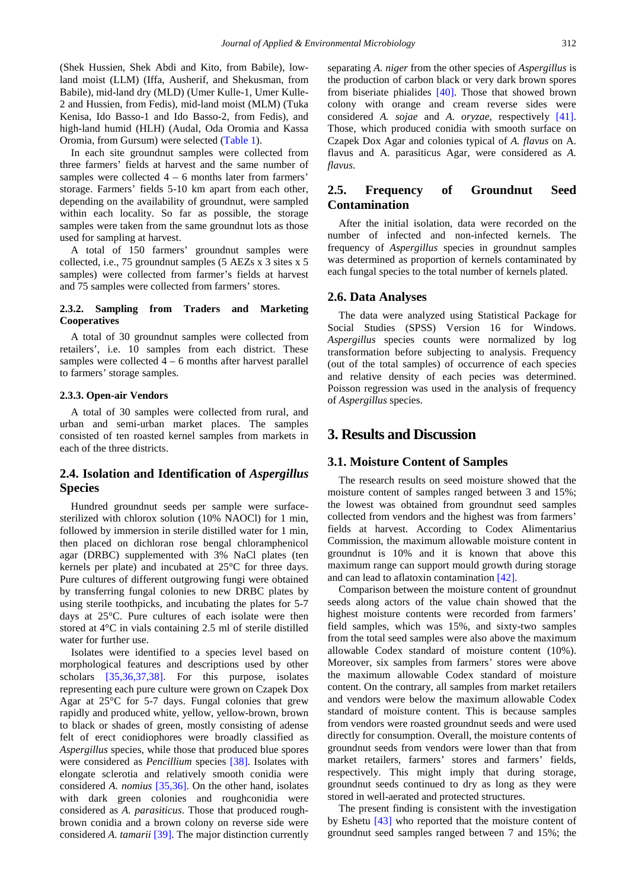(Shek Hussien, Shek Abdi and Kito, from Babile), lowland moist (LLM) (Iffa, Ausherif, and Shekusman, from Babile), mid-land dry (MLD) (Umer Kulle-1, Umer Kulle-2 and Hussien, from Fedis), mid-land moist (MLM) (Tuka Kenisa, Ido Basso-1 and Ido Basso-2, from Fedis), and high-land humid (HLH) (Audal, Oda Oromia and Kassa Oromia, from Gursum) were selected [\(Table 1\)](#page-2-0).

In each site groundnut samples were collected from three farmers' fields at harvest and the same number of samples were collected  $4 - 6$  months later from farmers' storage. Farmers' fields 5-10 km apart from each other, depending on the availability of groundnut, were sampled within each locality. So far as possible, the storage samples were taken from the same groundnut lots as those used for sampling at harvest.

A total of 150 farmers' groundnut samples were collected, i.e., 75 groundnut samples (5 AEZs x 3 sites x 5 samples) were collected from farmer's fields at harvest and 75 samples were collected from farmers' stores.

#### **2.3.2. Sampling from Traders and Marketing Cooperatives**

A total of 30 groundnut samples were collected from retailers', i.e. 10 samples from each district. These samples were collected  $4 - 6$  months after harvest parallel to farmers' storage samples.

#### **2.3.3. Open-air Vendors**

A total of 30 samples were collected from rural, and urban and semi-urban market places. The samples consisted of ten roasted kernel samples from markets in each of the three districts.

## **2.4. Isolation and Identification of** *Aspergillus* **Species**

Hundred groundnut seeds per sample were surfacesterilized with chlorox solution (10% NAOCl) for 1 min, followed by immersion in sterile distilled water for 1 min, then placed on dichloran rose bengal chloramphenicol agar (DRBC) supplemented with 3% NaCl plates (ten kernels per plate) and incubated at 25°C for three days. Pure cultures of different outgrowing fungi were obtained by transferring fungal colonies to new DRBC plates by using sterile toothpicks, and incubating the plates for 5-7 days at 25°C. Pure cultures of each isolate were then stored at 4°C in vials containing 2.5 ml of sterile distilled water for further use.

Isolates were identified to a species level based on morphological features and descriptions used by other scholars [\[35,36,37,38\].](#page-7-26) For this purpose, isolates representing each pure culture were grown on Czapek Dox Agar at 25°C for 5-7 days. Fungal colonies that grew rapidly and produced white, yellow, yellow-brown, brown to black or shades of green, mostly consisting of adense felt of erect conidiophores were broadly classified as *Aspergillus* species, while those that produced blue spores were considered as *Pencillium* species [\[38\].](#page-7-27) Isolates with elongate sclerotia and relatively smooth conidia were considered *A. nomius* [\[35,36\].](#page-7-26) On the other hand, isolates with dark green colonies and roughconidia were considered as *A. parasiticus*. Those that produced roughbrown conidia and a brown colony on reverse side were considered *A. tamarii* [\[39\].](#page-7-28) The major distinction currently

separating *A. niger* from the other species of *Aspergillus* is the production of carbon black or very dark brown spores from biseriate phialides [\[40\].](#page-7-29) Those that showed brown colony with orange and cream reverse sides were considered *A. sojae* and *A. oryzae*, respectively [\[41\].](#page-7-30) Those, which produced conidia with smooth surface on Czapek Dox Agar and colonies typical of *A. flavus* on A. flavus and A. parasiticus Agar, were considered as *A. flavus*.

# **2.5. Frequency of Groundnut Seed Contamination**

After the initial isolation, data were recorded on the number of infected and non-infected kernels. The frequency of *Aspergillus* species in groundnut samples was determined as proportion of kernels contaminated by each fungal species to the total number of kernels plated.

### **2.6. Data Analyses**

The data were analyzed using Statistical Package for Social Studies (SPSS) Version 16 for Windows. *Aspergillus* species counts were normalized by log transformation before subjecting to analysis. Frequency (out of the total samples) of occurrence of each species and relative density of each pecies was determined. Poisson regression was used in the analysis of frequency of *Aspergillus* species.

## **3. Results and Discussion**

#### **3.1. Moisture Content of Samples**

The research results on seed moisture showed that the moisture content of samples ranged between 3 and 15%; the lowest was obtained from groundnut seed samples collected from vendors and the highest was from farmers' fields at harvest. According to Codex Alimentarius Commission, the maximum allowable moisture content in groundnut is 10% and it is known that above this maximum range can support mould growth during storage and can lead to aflatoxin contaminatio[n \[42\].](#page-7-31)

Comparison between the moisture content of groundnut seeds along actors of the value chain showed that the highest moisture contents were recorded from farmers' field samples, which was 15%, and sixty-two samples from the total seed samples were also above the maximum allowable Codex standard of moisture content (10%). Moreover, six samples from farmers' stores were above the maximum allowable Codex standard of moisture content. On the contrary, all samples from market retailers and vendors were below the maximum allowable Codex standard of moisture content. This is because samples from vendors were roasted groundnut seeds and were used directly for consumption. Overall, the moisture contents of groundnut seeds from vendors were lower than that from market retailers, farmers' stores and farmers' fields, respectively. This might imply that during storage, groundnut seeds continued to dry as long as they were stored in well-aerated and protected structures.

The present finding is consistent with the investigation by Eshetu [\[43\]](#page-7-32) who reported that the moisture content of groundnut seed samples ranged between 7 and 15%; the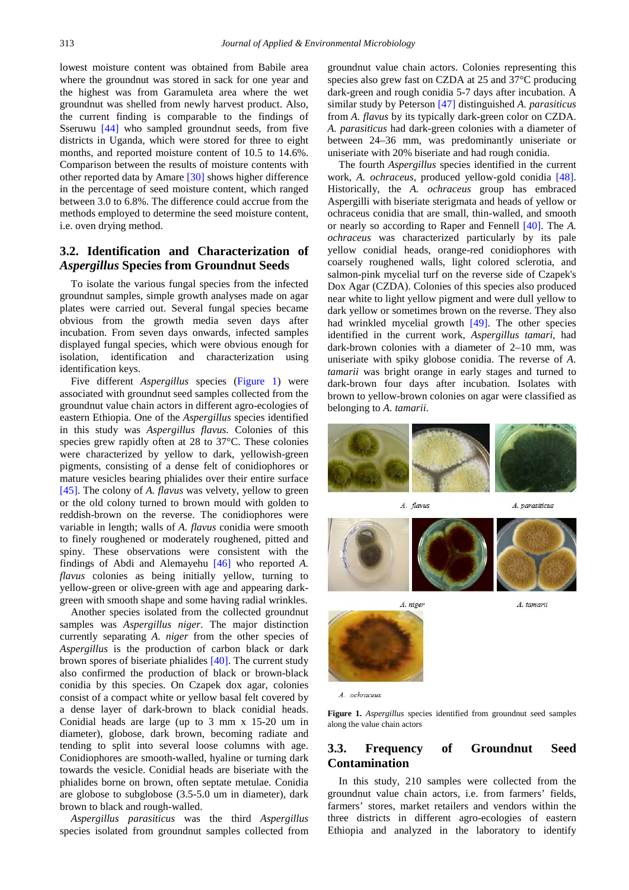lowest moisture content was obtained from Babile area where the groundnut was stored in sack for one year and the highest was from Garamuleta area where the wet groundnut was shelled from newly harvest product. Also, the current finding is comparable to the findings of Sseruwu [\[44\]](#page-7-33) who sampled groundnut seeds, from five districts in Uganda, which were stored for three to eight months, and reported moisture content of 10.5 to 14.6%. Comparison between the results of moisture contents with other reported data by Amare [\[30\]](#page-7-22) shows higher difference in the percentage of seed moisture content, which ranged between 3.0 to 6.8%. The difference could accrue from the methods employed to determine the seed moisture content, i.e. oven drying method.

## **3.2. Identification and Characterization of**  *Aspergillus* **Species from Groundnut Seeds**

To isolate the various fungal species from the infected groundnut samples, simple growth analyses made on agar plates were carried out. Several fungal species became obvious from the growth media seven days after incubation. From seven days onwards, infected samples displayed fungal species, which were obvious enough for isolation, identification and characterization using identification keys.

Five different *Aspergillus* species [\(Figure 1\)](#page-4-0) were associated with groundnut seed samples collected from the groundnut value chain actors in different agro-ecologies of eastern Ethiopia. One of the *Aspergillus* species identified in this study was *Aspergillus flavus.* Colonies of this species grew rapidly often at 28 to 37°C. These colonies were characterized by yellow to dark, yellowish-green pigments, consisting of a dense felt of conidiophores or mature vesicles bearing phialides over their entire surface [\[45\].](#page-7-34) The colony of *A. flavus* was velvety, yellow to green or the old colony turned to brown mould with golden to reddish-brown on the reverse. The conidiophores were variable in length; walls of *A. flavus* conidia were smooth to finely roughened or moderately roughened, pitted and spiny. These observations were consistent with the findings of Abdi and Alemayehu [\[46\]](#page-7-35) who reported *A. flavus* colonies as being initially yellow, turning to yellow-green or olive-green with age and appearing darkgreen with smooth shape and some having radial wrinkles.

Another species isolated from the collected groundnut samples was *Aspergillus niger*. The major distinction currently separating *A. niger* from the other species of *Aspergillus* is the production of carbon black or dark brown spores of biseriate phialides [\[40\].](#page-7-29) The current study also confirmed the production of black or brown-black conidia by this species. On Czapek dox agar, colonies consist of a compact white or yellow basal felt covered by a dense layer of dark-brown to black conidial heads. Conidial heads are large (up to 3 mm x 15-20 um in diameter), globose, dark brown, becoming radiate and tending to split into several loose columns with age. Conidiophores are smooth-walled, hyaline or turning dark towards the vesicle. Conidial heads are biseriate with the phialides borne on brown, often septate metulae. Conidia are globose to subglobose (3.5-5.0 um in diameter), dark brown to black and rough-walled.

*Aspergillus parasiticus* was the third *Aspergillus* species isolated from groundnut samples collected from groundnut value chain actors. Colonies representing this species also grew fast on CZDA at 25 and 37°C producing dark-green and rough conidia 5-7 days after incubation. A similar study by Peterson [\[47\]](#page-7-36) distinguished *A. parasiticus* from *A. flavus* by its typically dark-green color on CZDA. *A. parasiticus* had dark-green colonies with a diameter of between 24–36 mm, was predominantly uniseriate or uniseriate with 20% biseriate and had rough conidia.

The fourth *Aspergillus* species identified in the current work, *A. ochraceus*, produced yellow-gold conidia [\[48\].](#page-7-37) Historically, the *A. ochraceus* group has embraced Aspergilli with biseriate sterigmata and heads of yellow or ochraceus conidia that are small, thin-walled, and smooth or nearly so according to Raper and Fennell [\[40\].](#page-7-29) The *A. ochraceus* was characterized particularly by its pale yellow conidial heads, orange-red conidiophores with coarsely roughened walls, light colored sclerotia, and salmon-pink mycelial turf on the reverse side of Czapek's Dox Agar (CZDA). Colonies of this species also produced near white to light yellow pigment and were dull yellow to dark yellow or sometimes brown on the reverse. They also had wrinkled mycelial growth [\[49\].](#page-8-0) The other species identified in the current work, *Aspergillus tamari,* had dark-brown colonies with a diameter of 2–10 mm, was uniseriate with spiky globose conidia. The reverse of *A. tamarii* was bright orange in early stages and turned to dark-brown four days after incubation. Isolates with brown to yellow-brown colonies on agar were classified as belonging to *A. tamarii*.

<span id="page-4-0"></span>

A. ochraceus

**Figure 1.** *Aspergillus* species identified from groundnut seed samples along the value chain actors

## **3.3. Frequency of Groundnut Seed Contamination**

In this study, 210 samples were collected from the groundnut value chain actors, i.e. from farmers' fields, farmers' stores, market retailers and vendors within the three districts in different agro-ecologies of eastern Ethiopia and analyzed in the laboratory to identify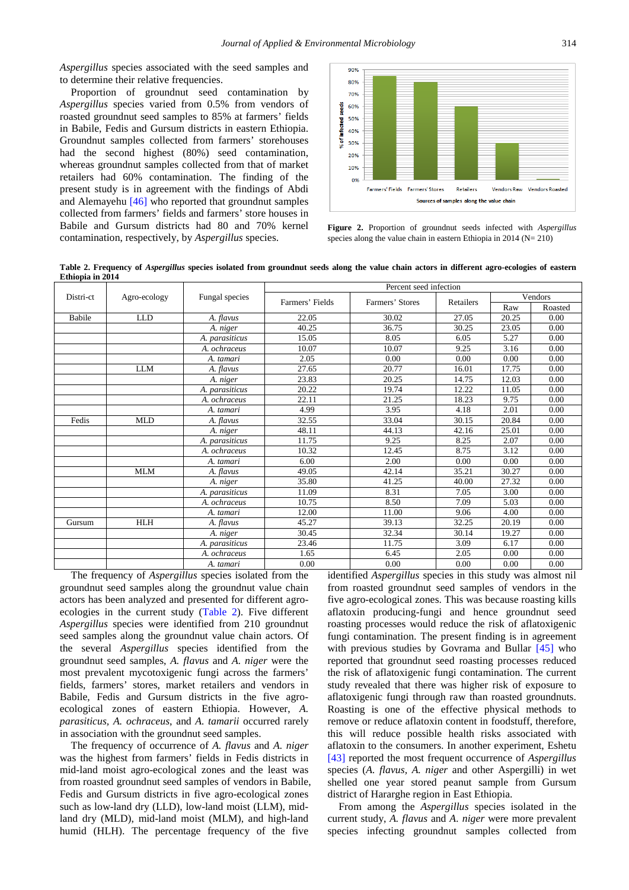*Aspergillus* species associated with the seed samples and to determine their relative frequencies.

Proportion of groundnut seed contamination by *Aspergillus* species varied from 0.5% from vendors of roasted groundnut seed samples to 85% at farmers' fields in Babile, Fedis and Gursum districts in eastern Ethiopia. Groundnut samples collected from farmers' storehouses had the second highest (80%) seed contamination, whereas groundnut samples collected from that of market retailers had 60% contamination. The finding of the present study is in agreement with the findings of Abdi and Alemayehu [\[46\]](#page-7-35) who reported that groundnut samples collected from farmers' fields and farmers' store houses in Babile and Gursum districts had 80 and 70% kernel contamination, respectively, by *Aspergillus* species.



**Figure 2.** Proportion of groundnut seeds infected with *Aspergillus* species along the value chain in eastern Ethiopia in  $2014$  (N= 210)

**Table 2. Frequency of** *Aspergillus* **species isolated from groundnut seeds along the value chain actors in different agro-ecologies of eastern Ethiopia in 2014** 

<span id="page-5-0"></span>

|           |              |                | Percent seed infection |                 |           |         |         |  |
|-----------|--------------|----------------|------------------------|-----------------|-----------|---------|---------|--|
| Distri-ct | Agro-ecology | Fungal species |                        | Farmers' Stores | Retailers | Vendors |         |  |
|           |              |                | Farmers' Fields        |                 |           | Raw     | Roasted |  |
| Babile    | <b>LLD</b>   | A. flavus      | 22.05                  | 30.02           | 27.05     | 20.25   | 0.00    |  |
|           |              | A. niger       | 40.25                  | 36.75           | 30.25     | 23.05   | 0.00    |  |
|           |              | A. parasiticus | 15.05                  | 8.05            | 6.05      | 5.27    | 0.00    |  |
|           |              | A. ochraceus   | 10.07                  | 10.07           | 9.25      | 3.16    | 0.00    |  |
|           |              | A. tamari      | 2.05                   | 0.00            | 0.00      | 0.00    | 0.00    |  |
|           | <b>LLM</b>   | A. flavus      | 27.65                  | 20.77           | 16.01     | 17.75   | 0.00    |  |
|           |              | A. niger       | 23.83                  | 20.25           | 14.75     | 12.03   | 0.00    |  |
|           |              | A. parasiticus | 20.22                  | 19.74           | 12.22     | 11.05   | 0.00    |  |
|           |              | A. ochraceus   | 22.11                  | 21.25           | 18.23     | 9.75    | 0.00    |  |
|           |              | A. tamari      | 4.99                   | 3.95            | 4.18      | 2.01    | 0.00    |  |
| Fedis     | <b>MLD</b>   | A. flavus      | 32.55                  | 33.04           | 30.15     | 20.84   | 0.00    |  |
|           |              | A. niger       | 48.11                  | 44.13           | 42.16     | 25.01   | 0.00    |  |
|           |              | A. parasiticus | 11.75                  | 9.25            | 8.25      | 2.07    | 0.00    |  |
|           |              | A. ochraceus   | 10.32                  | 12.45           | 8.75      | 3.12    | 0.00    |  |
|           |              | A. tamari      | 6.00                   | 2.00            | 0.00      | 0.00    | 0.00    |  |
|           | <b>MLM</b>   | A. flavus      | 49.05                  | 42.14           | 35.21     | 30.27   | 0.00    |  |
|           |              | A. niger       | 35.80                  | 41.25           | 40.00     | 27.32   | 0.00    |  |
|           |              | A. parasiticus | 11.09                  | 8.31            | 7.05      | 3.00    | 0.00    |  |
|           |              | A. ochraceus   | 10.75                  | 8.50            | 7.09      | 5.03    | 0.00    |  |
|           |              | A. tamari      | 12.00                  | 11.00           | 9.06      | 4.00    | 0.00    |  |
| Gursum    | <b>HLH</b>   | A. flavus      | 45.27                  | 39.13           | 32.25     | 20.19   | 0.00    |  |
|           |              | A. niger       | 30.45                  | 32.34           | 30.14     | 19.27   | 0.00    |  |
|           |              | A. parasiticus | 23.46                  | 11.75           | 3.09      | 6.17    | 0.00    |  |
|           |              | A. ochraceus   | 1.65                   | 6.45            | 2.05      | 0.00    | 0.00    |  |
|           |              | A. tamari      | 0.00                   | 0.00            | 0.00      | 0.00    | 0.00    |  |

The frequency of *Aspergillus* species isolated from the groundnut seed samples along the groundnut value chain actors has been analyzed and presented for different agroecologies in the current study [\(Table 2\)](#page-5-0). Five different *Aspergillus* species were identified from 210 groundnut seed samples along the groundnut value chain actors. Of the several *Aspergillus* species identified from the groundnut seed samples, *A. flavus* and *A. niger* were the most prevalent mycotoxigenic fungi across the farmers' fields, farmers' stores, market retailers and vendors in Babile, Fedis and Gursum districts in the five agroecological zones of eastern Ethiopia. However, *A. parasiticus, A. ochraceus*, and *A. tamarii* occurred rarely in association with the groundnut seed samples.

The frequency of occurrence of *A. flavus* and *A. niger*  was the highest from farmers' fields in Fedis districts in mid-land moist agro-ecological zones and the least was from roasted groundnut seed samples of vendors in Babile, Fedis and Gursum districts in five agro-ecological zones such as low-land dry (LLD), low-land moist (LLM), midland dry (MLD), mid-land moist (MLM), and high-land humid (HLH). The percentage frequency of the five

identified *Aspergillus* species in this study was almost nil from roasted groundnut seed samples of vendors in the five agro-ecological zones. This was because roasting kills aflatoxin producing-fungi and hence groundnut seed roasting processes would reduce the risk of aflatoxigenic fungi contamination. The present finding is in agreement with previous studies by Govrama and Bullar [\[45\]](#page-7-34) who reported that groundnut seed roasting processes reduced the risk of aflatoxigenic fungi contamination. The current study revealed that there was higher risk of exposure to aflatoxigenic fungi through raw than roasted groundnuts. Roasting is one of the effective physical methods to remove or reduce aflatoxin content in foodstuff, therefore, this will reduce possible health risks associated with aflatoxin to the consumers. In another experiment, Eshetu [\[43\]](#page-7-32) reported the most frequent occurrence of *Aspergillus* species (*A. flavus, A. niger* and other Aspergilli) in wet shelled one year stored peanut sample from Gursum district of Hararghe region in East Ethiopia.

From among the *Aspergillus* species isolated in the current study, *A. flavus* and *A. niger* were more prevalent species infecting groundnut samples collected from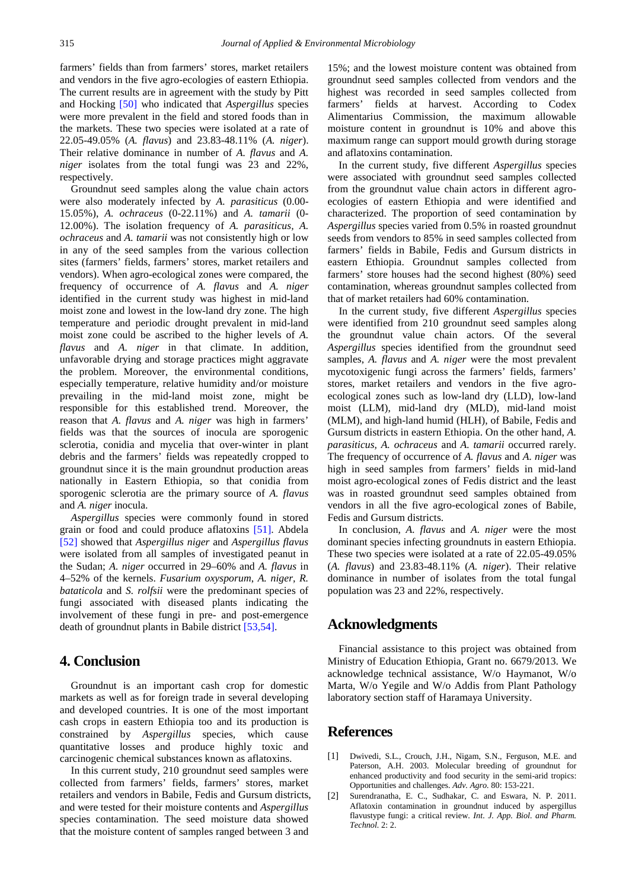farmers' fields than from farmers' stores, market retailers and vendors in the five agro-ecologies of eastern Ethiopia. The current results are in agreement with the study by Pitt and Hocking [\[50\]](#page-8-1) who indicated that *Aspergillus* species were more prevalent in the field and stored foods than in the markets. These two species were isolated at a rate of 22.05-49.05% (*A. flavus*) and 23.83-48.11% (*A. niger*). Their relative dominance in number of *A. flavus* and *A. niger* isolates from the total fungi was 23 and 22%, respectively.

Groundnut seed samples along the value chain actors were also moderately infected by *A. parasiticus* (0.00- 15.05%), *A. ochraceus* (0-22.11%) and *A. tamarii* (0- 12.00%). The isolation frequency of *A. parasiticus, A. ochraceus* and *A. tamarii* was not consistently high or low in any of the seed samples from the various collection sites (farmers' fields, farmers' stores, market retailers and vendors). When agro-ecological zones were compared, the frequency of occurrence of *A. flavus* and *A. niger* identified in the current study was highest in mid-land moist zone and lowest in the low-land dry zone. The high temperature and periodic drought prevalent in mid-land moist zone could be ascribed to the higher levels of *A. flavus* and *A. niger* in that climate. In addition, unfavorable drying and storage practices might aggravate the problem. Moreover, the environmental conditions, especially temperature, relative humidity and/or moisture prevailing in the mid-land moist zone, might be responsible for this established trend. Moreover, the reason that *A. flavus* and *A. niger* was high in farmers' fields was that the sources of inocula are sporogenic sclerotia, conidia and mycelia that over-winter in plant debris and the farmers' fields was repeatedly cropped to groundnut since it is the main groundnut production areas nationally in Eastern Ethiopia, so that conidia from sporogenic sclerotia are the primary source of *A. flavus* and *A. niger* inocula.

*Aspergillus* species were commonly found in stored grain or food and could produce aflatoxins [\[51\].](#page-8-2) Abdela [\[52\]](#page-8-3) showed that *Aspergillus niger* and *Aspergillus flavus* were isolated from all samples of investigated peanut in the Sudan; *A. niger* occurred in 29–60% and *A. flavus* in 4–52% of the kernels. *Fusarium oxysporum*, *A. niger, R. bataticola* and *S. rolfsii* were the predominant species of fungi associated with diseased plants indicating the involvement of these fungi in pre- and post-emergence death of groundnut plants in Babile district [\[53,54\].](#page-8-4)

# **4. Conclusion**

Groundnut is an important cash crop for domestic markets as well as for foreign trade in several developing and developed countries. It is one of the most important cash crops in eastern Ethiopia too and its production is constrained by *Aspergillus* species*,* which cause quantitative losses and produce highly toxic and carcinogenic chemical substances known as aflatoxins.

In this current study, 210 groundnut seed samples were collected from farmers' fields, farmers' stores, market retailers and vendors in Babile, Fedis and Gursum districts, and were tested for their moisture contents and *Aspergillus*  species contamination. The seed moisture data showed that the moisture content of samples ranged between 3 and

15%; and the lowest moisture content was obtained from groundnut seed samples collected from vendors and the highest was recorded in seed samples collected from farmers' fields at harvest. According to Codex Alimentarius Commission, the maximum allowable moisture content in groundnut is 10% and above this maximum range can support mould growth during storage and aflatoxins contamination.

In the current study, five different *Aspergillus* species were associated with groundnut seed samples collected from the groundnut value chain actors in different agroecologies of eastern Ethiopia and were identified and characterized. The proportion of seed contamination by *Aspergillus* species varied from 0.5% in roasted groundnut seeds from vendors to 85% in seed samples collected from farmers' fields in Babile, Fedis and Gursum districts in eastern Ethiopia. Groundnut samples collected from farmers' store houses had the second highest (80%) seed contamination, whereas groundnut samples collected from that of market retailers had 60% contamination.

In the current study, five different *Aspergillus* species were identified from 210 groundnut seed samples along the groundnut value chain actors. Of the several *Aspergillus* species identified from the groundnut seed samples, *A. flavus* and *A. niger* were the most prevalent mycotoxigenic fungi across the farmers' fields, farmers' stores, market retailers and vendors in the five agroecological zones such as low-land dry (LLD), low-land moist (LLM), mid-land dry (MLD), mid-land moist (MLM), and high-land humid (HLH), of Babile, Fedis and Gursum districts in eastern Ethiopia. On the other hand, *A. parasiticus, A. ochraceus* and *A. tamarii* occurred rarely. The frequency of occurrence of *A. flavus* and *A. niger* was high in seed samples from farmers' fields in mid-land moist agro-ecological zones of Fedis district and the least was in roasted groundnut seed samples obtained from vendors in all the five agro-ecological zones of Babile, Fedis and Gursum districts.

In conclusion, *A. flavus* and *A. niger* were the most dominant species infecting groundnuts in eastern Ethiopia. These two species were isolated at a rate of 22.05-49.05% (*A. flavus*) and 23.83-48.11% (*A. niger*). Their relative dominance in number of isolates from the total fungal population was 23 and 22%, respectively.

# **Acknowledgments**

Financial assistance to this project was obtained from Ministry of Education Ethiopia, Grant no. 6679/2013. We acknowledge technical assistance, W/o Haymanot, W/o Marta, W/o Yegile and W/o Addis from Plant Pathology laboratory section staff of Haramaya University.

## **References**

- <span id="page-6-0"></span>[1] Dwivedi, S.L., Crouch, J.H., Nigam, S.N., Ferguson, M.E. and Paterson, A.H. 2003. Molecular breeding of groundnut for enhanced productivity and food security in the semi-arid tropics: Opportunities and challenges. *Adv. Agro.* 80: 153-221.
- <span id="page-6-1"></span>[2] Surendranatha, E. C., Sudhakar, C. and Eswara, N. P. 2011. Aflatoxin contamination in groundnut induced by aspergillus flavustype fungi: a critical review. *Int. J. App. Biol. and Pharm. Technol.* 2: 2.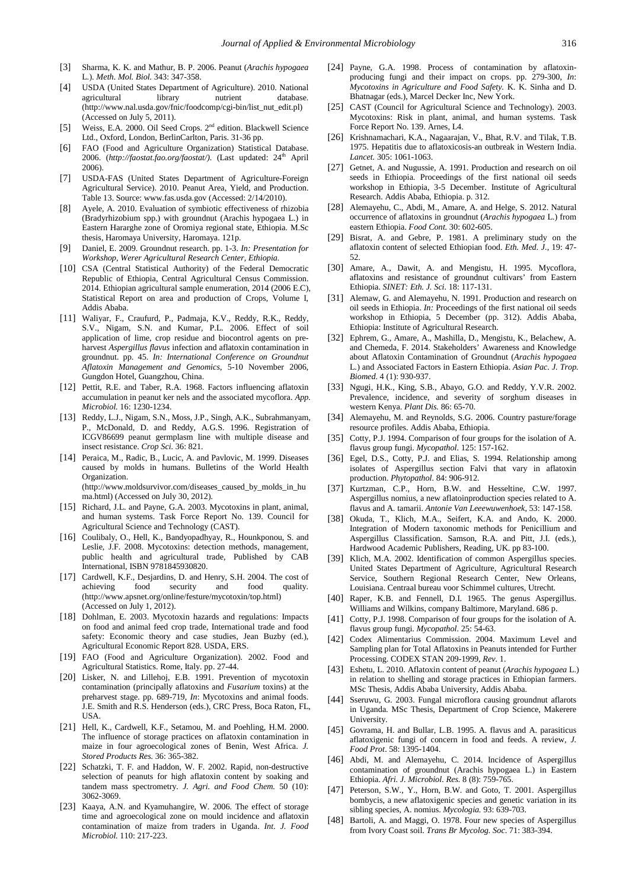- <span id="page-7-0"></span>[3] Sharma, K. K. and Mathur, B. P. 2006. Peanut (*Arachis hypogaea*  L.). *Meth. Mol. Biol.* 343: 347-358.
- <span id="page-7-1"></span>[4] USDA (United States Department of Agriculture). 2010. National agricultural (http://www.nal.usda.gov/fnic/foodcomp/cgi-bin/list\_nut\_edit.pl) (Accessed on July 5, 2011).
- <span id="page-7-2"></span>[5] Weiss, E.A. 2000. Oil Seed Crops. 2<sup>nd</sup> edition. Blackwell Science Ltd., Oxford, London, BerlinCarlton, Paris. 31-36 pp.
- <span id="page-7-3"></span>[6] FAO (Food and Agriculture Organization) Statistical Database. 2006. (http://faostat.fao.org/faostat/). (Last updated: 24<sup>th</sup> April 2006).
- <span id="page-7-4"></span>[7] USDA-FAS (United States Department of Agriculture-Foreign Agricultural Service). 2010. Peanut Area, Yield, and Production. Table 13. Source: www.fas.usda.gov (Accessed: 2/14/2010).
- <span id="page-7-5"></span>[8] Ayele, A. 2010. Evaluation of symbiotic effectiveness of rhizobia (Bradyrhizobium spp.) with groundnut (Arachis hypogaea L.) in Eastern Hararghe zone of Oromiya regional state, Ethiopia. M.Sc thesis, Haromaya University, Haromaya. 121p.
- <span id="page-7-6"></span>[9] Daniel, E. 2009. Groundnut research. pp. 1-3. *In: Presentation for Workshop, Werer Agricultural Research Center, Ethiopia.*
- <span id="page-7-7"></span>[10] CSA (Central Statistical Authority) of the Federal Democratic Republic of Ethiopia, Central Agricultural Census Commission. 2014. Ethiopian agricultural sample enumeration, 2014 (2006 E.C), Statistical Report on area and production of Crops, Volume I, Addis Ababa.
- <span id="page-7-8"></span>[11] Waliyar, F., Craufurd, P., Padmaja, K.V., Reddy, R.K., Reddy, S.V., Nigam, S.N. and Kumar, P.L. 2006. Effect of soil application of lime, crop residue and biocontrol agents on preharvest *Aspergillus flavus* infection and aflatoxin contamination in groundnut. pp. 45. *In: International Conference on Groundnut Aflatoxin Management and Genomics*, 5-10 November 2006, Gungdon Hotel, Guangzhou, China.
- <span id="page-7-9"></span>[12] Pettit, R.E. and Taber, R.A. 1968. Factors influencing aflatoxin accumulation in peanut ker nels and the associated mycoflora. *App. Microbiol.* 16: 1230-1234.
- <span id="page-7-10"></span>[13] Reddy, L.J., Nigam, S.N., Moss, J.P., Singh, A.K., Subrahmanyam, P., McDonald, D. and Reddy, A.G.S. 1996. Registration of ICGV86699 peanut germplasm line with multiple disease and insect resistance. *Crop Sci.* 36: 821.
- <span id="page-7-11"></span>[14] Peraica, M., Radic, B., Lucic, A. and Pavlovic, M. 1999. Diseases caused by molds in humans. Bulletins of the World Health Organization. (http://www.moldsurvivor.com/diseases\_caused\_by\_molds\_in\_hu

ma.html) (Accessed on July 30, 2012).

- <span id="page-7-12"></span>[15] Richard, J.L. and Payne, G.A. 2003. Mycotoxins in plant, animal, and human systems. Task Force Report No. 139. Council for Agricultural Science and Technology (CAST).
- <span id="page-7-13"></span>[16] Coulibaly, O., Hell, K., Bandyopadhyay, R., Hounkponou, S. and Leslie, J.F. 2008. Mycotoxins: detection methods, management, public health and agricultural trade, Published by CAB International, ISBN 9781845930820.
- <span id="page-7-14"></span>[17] Cardwell, K.F., Desjardins, D. and Henry, S.H. 2004. The cost of achieving food security and food quality. (http://www.apsnet.org/online/festure/mycotoxin/top.html) (Accessed on July 1, 2012).
- <span id="page-7-15"></span>[18] Dohlman, E. 2003. Mycotoxin hazards and regulations: Impacts on food and animal feed crop trade, International trade and food safety: Economic theory and case studies, Jean Buzby (ed.), Agricultural Economic Report 828. USDA, ERS.
- <span id="page-7-16"></span>[19] FAO (Food and Agriculture Organization). 2002. Food and Agricultural Statistics. Rome, Italy. pp. 27-44.
- [20] Lisker, N. and Lillehoj, E.B. 1991. Prevention of mycotoxin contamination (principally aflatoxins and *Fusarium* toxins) at the preharvest stage. pp. 689-719, *In*: Mycotoxins and animal foods. J.E. Smith and R.S. Henderson (eds.), CRC Press, Boca Raton, FL, USA.
- [21] Hell, K., Cardwell, K.F., Setamou, M. and Poehling, H.M. 2000. The influence of storage practices on aflatoxin contamination in maize in four agroecological zones of Benin, West Africa. *J. Stored Products Res.* 36: 365-382.
- [22] Schatzki, T. F. and Haddon, W. F. 2002. Rapid, non-destructive selection of peanuts for high aflatoxin content by soaking and tandem mass spectrometry. *J. Agri. and Food Chem.*  $50(10)$ : 3062-3069.
- [23] Kaaya, A.N. and Kyamuhangire, W. 2006. The effect of storage time and agroecological zone on mould incidence and aflatoxin contamination of maize from traders in Uganda. *Int. J. Food Microbiol.* 110: 217-223.
- <span id="page-7-17"></span>[24] Payne, G.A. 1998. Process of contamination by aflatoxinproducing fungi and their impact on crops. pp. 279-300, *In*: *Mycotoxins in Agriculture and Food Safety.* K. K. Sinha and D. Bhatnagar (eds.), Marcel Decker Inc, New York.
- <span id="page-7-18"></span>[25] CAST (Council for Agricultural Science and Technology). 2003. Mycotoxins: Risk in plant, animal, and human systems. Task Force Report No. 139. Arnes, L4.
- <span id="page-7-19"></span>[26] Krishnamachari, K.A., Nagaarajan, V., Bhat, R.V. and Tilak, T.B. 1975. Hepatitis due to aflatoxicosis-an outbreak in Western India. *Lancet.* 305: 1061-1063.
- <span id="page-7-20"></span>[27] Getnet, A. and Nugussie, A. 1991. Production and research on oil seeds in Ethiopia. Proceedings of the first national oil seeds workshop in Ethiopia, 3-5 December. Institute of Agricultural Research. Addis Ababa, Ethiopia. p. 312.
- <span id="page-7-23"></span>[28] Alemayehu, C., Abdi, M., Amare, A. and Helge, S. 2012. Natural occurrence of aflatoxins in groundnut (*Arachis hypogaea* L.) from eastern Ethiopia. *Food Cont.* 30: 602-605.
- <span id="page-7-21"></span>[29] Bisrat, A. and Gebre, P. 1981. A preliminary study on the aflatoxin content of selected Ethiopian food. *Eth. Med. J.*, 19: 47- 52.
- <span id="page-7-22"></span>[30] Amare, A., Dawit, A. and Mengistu, H. 1995. Mycoflora, aflatoxins and resistance of groundnut cultivars' from Eastern Ethiopia. *SINET: Eth. J. Sci.* 18: 117-131.
- <span id="page-7-24"></span>[31] Alemaw, G. and Alemayehu, N. 1991. Production and research on oil seeds in Ethiopia. *In:* Proceedings of the first national oil seeds workshop in Ethiopia, 5 December (pp. 312). Addis Ababa, Ethiopia: Institute of Agricultural Research.
- <span id="page-7-25"></span>[32] Ephrem, G., Amare, A., Mashilla, D., Mengistu, K., Belachew, A. and Chemeda, F. 2014. Stakeholders' Awareness and Knowledge about Aflatoxin Contamination of Groundnut (*Arachis hypogaea* L.) and Associated Factors in Eastern Ethiopia. *Asian Pac. J. Trop. Biomed*. 4 (1): 930-937.
- [33] Ngugi, H.K., King, S.B., Abayo, G.O. and Reddy, Y.V.R. 2002. Prevalence, incidence, and severity of sorghum diseases in western Kenya. *Plant Dis.* 86: 65-70.
- [34] Alemayehu, M. and Reynolds, S.G. 2006. Country pasture/forage resource profiles. Addis Ababa, Ethiopia.
- <span id="page-7-26"></span>[35] Cotty, P.J. 1994. Comparison of four groups for the isolation of A. flavus group fungi. *Mycopathol.* 125: 157-162.
- [36] Egel, D.S., Cotty, P.J. and Elias, S. 1994. Relationship among isolates of Aspergillus section Falvi that vary in aflatoxin production. *Phytopathol.* 84: 906-912.
- [37] Kurtzman, C.P., Horn, B.W. and Hesseltine, C.W. 1997. Aspergillus nomius, a new aflatoinproduction species related to A. flavus and A. tamarii. *Antonie Van Leeewuwenhoek,* 53: 147-158.
- <span id="page-7-27"></span>[38] Okuda, T., Klich, M.A., Seifert, K.A. and Ando, K. 2000. Integration of Modern taxonomic methods for Penicillium and Aspergillus Classification. Samson, R.A. and Pitt, J.I. (eds.), Hardwood Academic Publishers, Reading, UK. pp 83-100.
- <span id="page-7-28"></span>[39] Klich, M.A. 2002. Identification of common Aspergillus species. United States Department of Agriculture, Agricultural Research Service, Southern Regional Research Center, New Orleans, Louisiana. Centraal bureau voor Schimmel cultures, Utrecht.
- <span id="page-7-29"></span>[40] Raper, K.B. and Fennell, D.I. 1965. The genus Aspergillus. Williams and Wilkins, company Baltimore, Maryland. 686 p.
- <span id="page-7-30"></span>[41] Cotty, P.J. 1998. Comparison of four groups for the isolation of A. flavus group fungi. *Mycopathol.* 25: 54-63.
- <span id="page-7-31"></span>[42] Codex Alimentarius Commission. 2004. Maximum Level and Sampling plan for Total Aflatoxins in Peanuts intended for Further Processing. CODEX STAN 209-1999, *Rev*. 1.
- <span id="page-7-32"></span>[43] Eshetu, L. 2010. Aflatoxin content of peanut (*Arachis hypogaea* L.) in relation to shelling and storage practices in Ethiopian farmers. MSc Thesis, Addis Ababa University, Addis Ababa.
- <span id="page-7-33"></span>[44] Sseruwu, G. 2003. Fungal microflora causing groundnut aflarots in Uganda. MSc Thesis, Department of Crop Science, Makerere University.
- <span id="page-7-34"></span>[45] Govrama, H. and Bullar, L.B. 1995. A. flavus and A. parasiticus aflatoxigenic fungi of concern in food and feeds. A review, *J. Food Prot*. 58: 1395-1404.
- <span id="page-7-35"></span>[46] Abdi, M. and Alemayehu, C. 2014. Incidence of Aspergillus contamination of groundnut (Arachis hypogaea L.) in Eastern Ethiopia. *Afri. J. Microbiol. Res.* 8 (8): 759-765.
- <span id="page-7-36"></span>[47] Peterson, S.W., Y., Horn, B.W. and Goto, T. 2001. Aspergillus bombycis, a new aflatoxigenic species and genetic variation in its sibling species, A. nomius. *Mycologia.* 93: 639-703.
- <span id="page-7-37"></span>[48] Bartoli, A. and Maggi, O. 1978. Four new species of Aspergillus from Ivory Coast soil. *Trans Br Mycolog. Soc*. 71: 383-394.